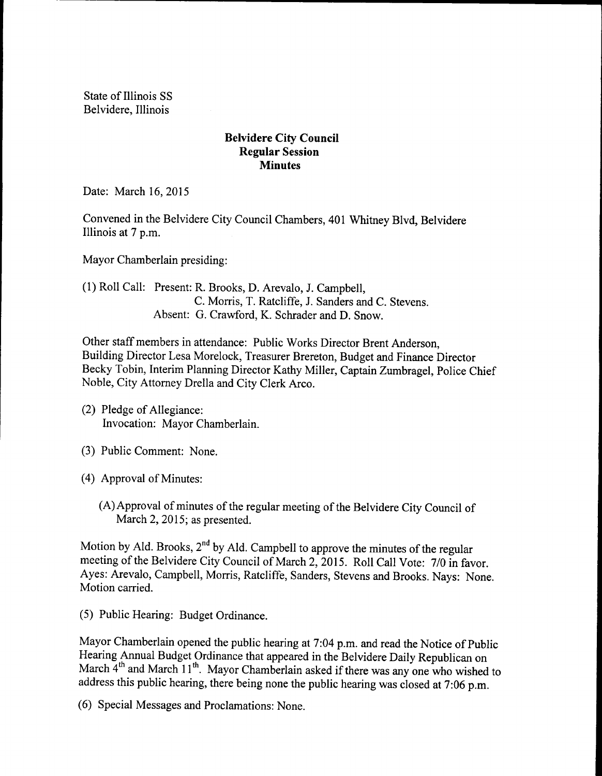State of Illinois SS Belvidere, Illinois

## Belvidere City Council Regular Session **Minutes**

Date: March 16, 2015

Convened in the Belvidere City Council Chambers, 401 Whitney Blvd, Belvidere Illinois at 7 p.m.

Mayor Chamberlain presiding:

1) Roll Call: Present: R. Brooks, D. Arevalo, J. Campbell, C. Morris, T. Ratcliffe, J. Sanders and C. Stevens. Absent: G. Crawford, K. Schrader and D. Snow.

Other staff members in attendance: Public Works Director Brent Anderson, Building Director Lesa Morelock, Treasurer Brereton, Budget and Finance Director Becky Tobin, Interim Planning Director Kathy Miller, Captain Zumbragel, Police Chief Noble, City Attorney Drella and City Clerk Arco.

- (2) Pledge of Allegiance: Invocation: Mayor Chamberlain.
- 3) Public Comment: None.
- 4) Approval of Minutes:
	- (A) Approval of minutes of the regular meeting of the Belvidere City Council of March 2, 2015; as presented.

Motion by Ald. Brooks, 2<sup>nd</sup> by Ald. Campbell to approve the minutes of the regular meeting of the Belvidere City Council of March 2, 2015. Roll Call Vote: 7/0 in favor. Ayes: Arevalo, Campbell, Morris, Ratcliffe, Sanders, Stevens and Brooks. Nays: None. Motion carried.

5) Public Hearing: Budget Ordinance.

Mayor Chamberlain opened the public hearing at 7:04 p.m. and read the Notice of Public Hearing Annual Budget Ordinance that appeared in the Belvidere Daily Republican on March 4<sup>th</sup> and March 11<sup>th</sup>. Mayor Chamberlain asked if there was any one who wished to address this public hearing, there being none the public hearing was closed at 7:06 p.m.

6) Special Messages and Proclamations: None.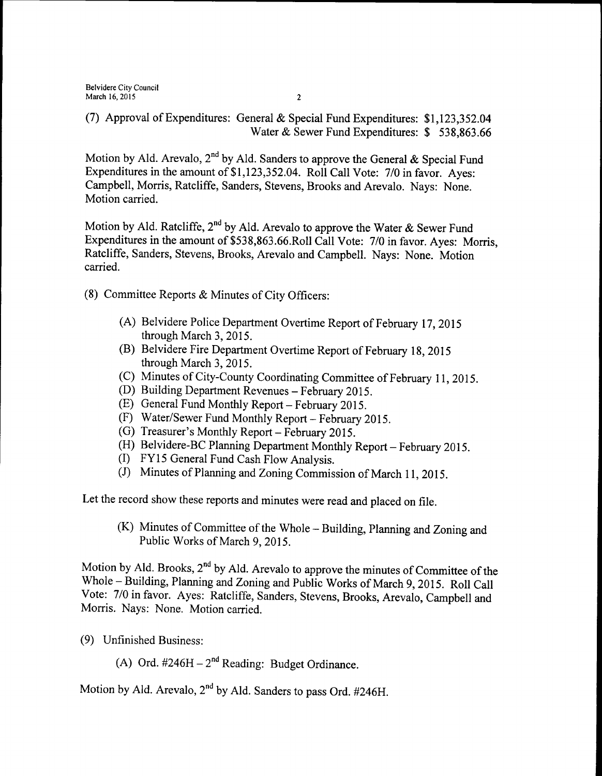(7) Approval of Expenditures: General & Special Fund Expenditures: \$1,123,352.04 Water & Sewer Fund Expenditures: \$ 538,863.66

Motion by Ald. Arevalo, 2<sup>nd</sup> by Ald. Sanders to approve the General & Special Fund Expenditures in the amount of \$1,123,352.04. Roll Call Vote: 7/0 in favor. Ayes: Campbell, Morris, Ratcliffe, Sanders, Stevens, Brooks and Arevalo. Nays: None. Motion carried.

Motion by Ald. Ratcliffe, 2<sup>nd</sup> by Ald. Arevalo to approve the Water & Sewer Fund Expenditures in the amount of \$538, 863. 66. Roll Call Vote: 7/0 in favor. Ayes: Morris, Ratcliffe, Sanders, Stevens, Brooks, Arevalo and Campbell. Nays: None. Motion carried.

- 8) Committee Reports & Minutes of City Officers:
	- A) Belvidere Police Department Overtime Report of February 17, 2015 through March 3, 2015.
	- B) Belvidere Fire Department Overtime Report of February 18, 2015 through March 3, 2015.
	- C) Minutes of City-County Coordinating Committee of February 11, 2015.
	- D) Building Department Revenues— February 2015.
	- E) General Fund Monthly Report—February 2015.
	- F) Water/Sewer Fund Monthly Report— February 2015.
	- (G) Treasurer's Monthly Report February 2015.
	- (H) Belvidere-BC Planning Department Monthly Report February 2015.
	- I) FY <sup>15</sup> General Fund Cash Flow Analysis.
	- (J) Minutes of Planning and Zoning Commission of March 11, 2015.

Let the record show these reports and minutes were read and placed on file.

 $(K)$  Minutes of Committee of the Whole – Building, Planning and Zoning and Public Works of March 9, 2015.

Motion by Ald. Brooks, 2<sup>nd</sup> by Ald. Arevalo to approve the minutes of Committee of the Whole—Building, Planning and Zoning and Public Works of March 9, 2015. Roll Call Vote: 7/0 in favor. Ayes: Ratcliffe, Sanders, Stevens, Brooks, Arevalo, Campbell and Morris. Nays: None. Motion carried.

- 9) Unfinished Business:
	- A) Ord.  $\#246H 2^{nd}$  Reading: Budget Ordinance.

Motion by Ald. Arevalo, 2<sup>nd</sup> by Ald. Sanders to pass Ord. #246H.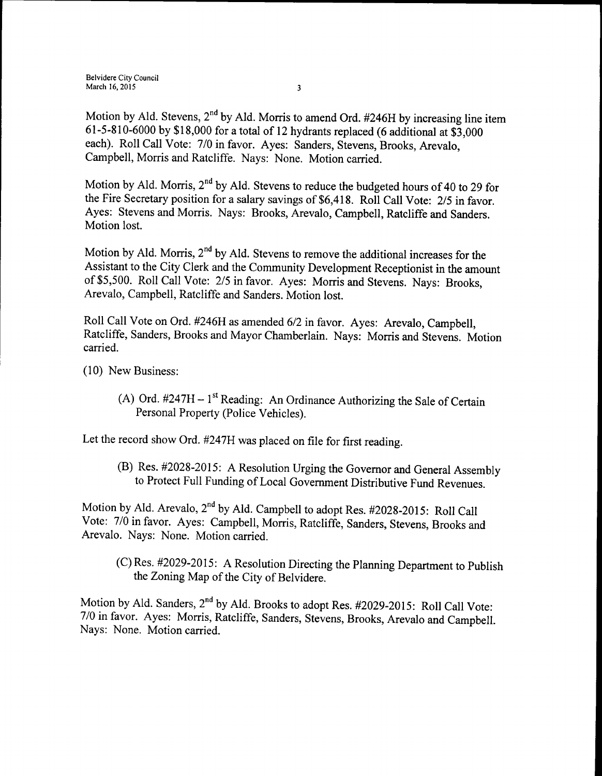Motion by Ald. Stevens,  $2<sup>nd</sup>$  by Ald. Morris to amend Ord. #246H by increasing line item 61-5-810-6000 by \$18,000 for a total of 12 hydrants replaced (6 additional at \$3,000 each). Roll Call Vote: 7/0 in favor. Ayes: Sanders, Stevens, Brooks, Arevalo, Campbell, Morris and Ratcliffe. Nays: None. Motion carried.

Motion by Ald. Morris,  $2<sup>nd</sup>$  by Ald. Stevens to reduce the budgeted hours of 40 to 29 for the Fire Secretary position for a salary savings of \$6,418. Roll Call Vote: 2/5 in favor. Ayes: Stevens and Morris. Nays: Brooks, Arevalo, Campbell, Ratcliffe and Sanders. Motion lost.

Motion by Ald. Morris, 2<sup>nd</sup> by Ald. Stevens to remove the additional increases for the Assistant to the City Clerk and the Community Development Receptionist in the amount of \$5,500. Roll Call Vote: 2/5 in favor. Ayes: Morris and Stevens. Nays: Brooks, Arevalo, Campbell, Ratcliffe and Sanders. Motion lost.

Roll Call Vote on Ord. #246H as amended 6/2 in favor. Ayes: Arevalo, Campbell, Ratcliffe, Sanders, Brooks and Mayor Chamberlain. Nays: Morris and Stevens. Motion carried.

10) New Business:

A) Ord.  $\#247H - 1$ <sup>st</sup> Reading: An Ordinance Authorizing the Sale of Certain Personal Property (Police Vehicles).

Let the record show Ord. #247H was placed on file for first reading.

(B) Res. #2028-2015: A Resolution Urging the Governor and General Assembly to Protect Full Funding of Local Government Distributive Fund Revenues.

Motion by Ald. Arevalo, 2<sup>nd</sup> by Ald. Campbell to adopt Res. #2028-2015: Roll Call Vote: 7/0 in favor. Ayes: Campbell, Morris, Ratcliffe, Sanders, Stevens, Brooks and Arevalo. Nays: None. Motion carried.

(C) Res. #2029-2015: A Resolution Directing the Planning Department to Publish the Zoning Map of the City of Belvidere.

Motion by Ald. Sanders, 2<sup>nd</sup> by Ald. Brooks to adopt Res. #2029-2015: Roll Call Vote: 7/0 in favor. Ayes: Morris, Ratcliffe, Sanders, Stevens, Brooks, Arevalo and Campbell. Nays: None. Motion carried.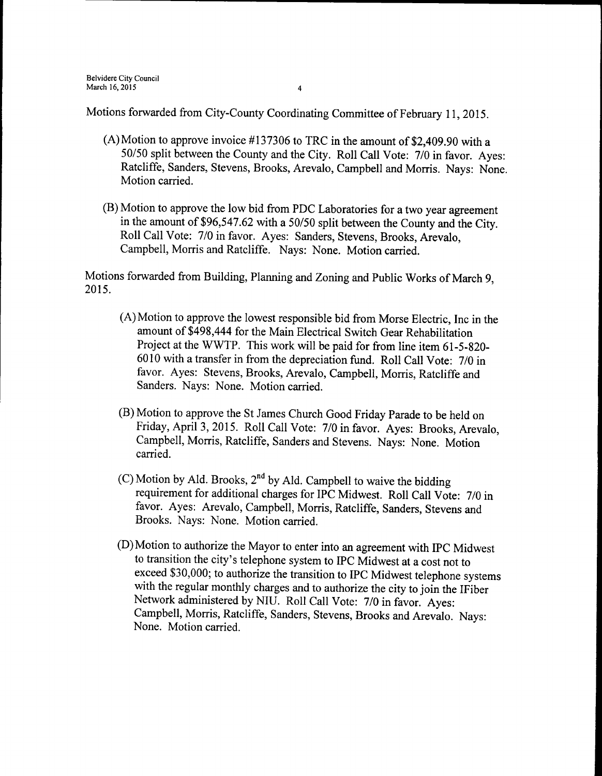Motions forwarded from City-County Coordinating Committee of February 11, 2015.

- (A)Motion to approve invoice  $\#137306$  to TRC in the amount of \$2,409.90 with a 50/50 split between the County and the City. Roll Call Vote: 7/0 in favor. Ayes: Ratcliffe, Sanders, Stevens, Brooks, Arevalo, Campbell and Morris. Nays: None. Motion carried.
- B) Motion to approve the low bid from PDC Laboratories for a two year agreement in the amount of \$96,547.62 with a 50/50 split between the County and the City. Roll Call Vote: 7/0 in favor. Ayes: Sanders, Stevens, Brooks, Arevalo, Campbell, Morris and Ratcliffe. Nays: None. Motion carried.

Motions forwarded from Building, Planning and Zoning and Public Works of March 9, 2015.

- A) Motion to approve the lowest responsible bid from Morse Electric, Inc in the amount of \$498,444 for the Main Electrical Switch Gear Rehabilitation Project at the WWTP. This work will be paid for from line item 61-5-820-6010 with a transfer in from the depreciation fund. Roll Call Vote: 7/0 in favor. Ayes: Stevens, Brooks, Arevalo, Campbell, Morris, Ratcliffe and Sanders. Nays: None. Motion carried.
- B) Motion to approve the St James Church Good Friday Parade to be held on Friday, April 3, 2015. Roll Call Vote: 7/0 in favor. Ayes: Brooks, Arevalo, Campbell, Morris, Ratcliffe, Sanders and Stevens. Nays: None. Motion carried.
- C) Motion by Ald. Brooks,  $2<sup>nd</sup>$  by Ald. Campbell to waive the bidding requirement for additional charges for IPC Midwest. Roll Call Vote: 7/0 in favor. Ayes: Arevalo, Campbell, Morris, Ratcliffe, Sanders, Stevens and Brooks. Nays: None. Motion carried.
- D) Motion to authorize the Mayor to enter into an agreement with IPC Midwest to transition the city's telephone system to IPC Midwest at a cost not to exceed \$30, 000; to authorize the transition to IPC Midwest telephone systems with the regular monthly charges and to authorize the city to join the IFiber Network administered by NIU. Roll Call Vote: 7/0 in favor. Ayes: Campbell, Morris, Ratcliffe, Sanders, Stevens, Brooks and Arevalo. Nays: None. Motion carried.